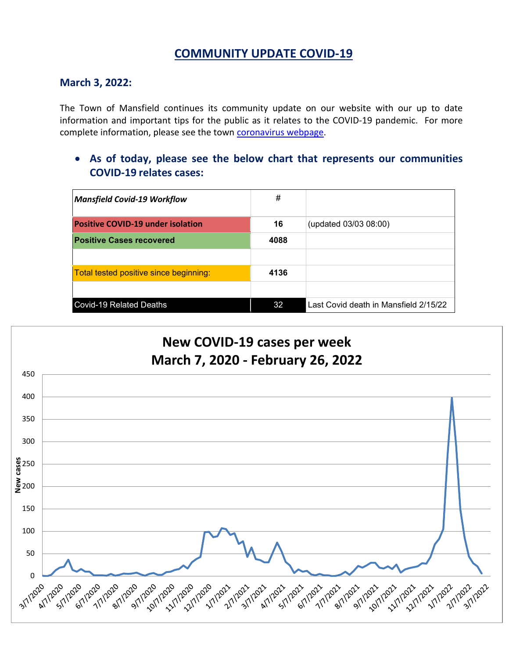# **COMMUNITY UPDATE COVID-19**

## **March 3, 2022:**

The Town of Mansfield continues its community update on our website with our up to date information and important tips for the public as it relates to the COVID-19 pandemic. For more complete information, please see the town [coronavirus webpage.](https://www.mansfieldma.com/536/Coronavirus-Information)

• **As of today, please see the below chart that represents our communities COVID-19 relates cases:**

| <b>Mansfield Covid-19 Workflow</b>       | #    |                                       |
|------------------------------------------|------|---------------------------------------|
| <b>Positive COVID-19 under isolation</b> | 16   | (updated 03/03 08:00)                 |
| <b>Positive Cases recovered</b>          | 4088 |                                       |
|                                          |      |                                       |
| Total tested positive since beginning:   | 4136 |                                       |
|                                          |      |                                       |
| <b>Covid-19 Related Deaths</b>           | 32   | Last Covid death in Mansfield 2/15/22 |

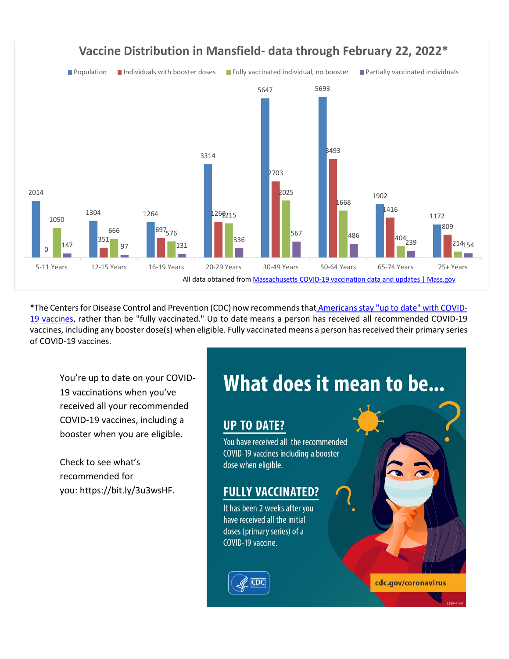

\*The Centers for Disease Control and Prevention (CDC) now recommends that [Americansstay "up to date" with COVID-](https://www.cdc.gov/coronavirus/2019-ncov/vaccines/stay-up-to-date.html)[19 vaccines,](https://www.cdc.gov/coronavirus/2019-ncov/vaccines/stay-up-to-date.html) rather than be "fully vaccinated." Up to date means a person has received all recommended COVID-19 vaccines, including any booster dose(s) when eligible. Fully vaccinated means a person has received their primary series of COVID-19 vaccines.

You're up to date on your COVID-19 vaccinations when you've received all your recommended COVID-19 vaccines, including a booster when you are eligible.

Check to see what's recommended for you: [https://bit.ly/3u3wsHF.](https://bit.ly/3u3wsHF?fbclid=IwAR2iBnzZaY5j_SU7FyifQlCBum_deVYckEXtmaw30AOFwS60RW-QtiGQ_ok)

# What does it mean to be...

cdc.gov/coronavirus

# **UP TO DATE?**

You have received all the recommended COVID-19 vaccines including a booster dose when eligible.

# **FULLY VACCINATED?**

It has been 2 weeks after you have received all the initial doses (primary series) of a COVID-19 vaccine.

CDC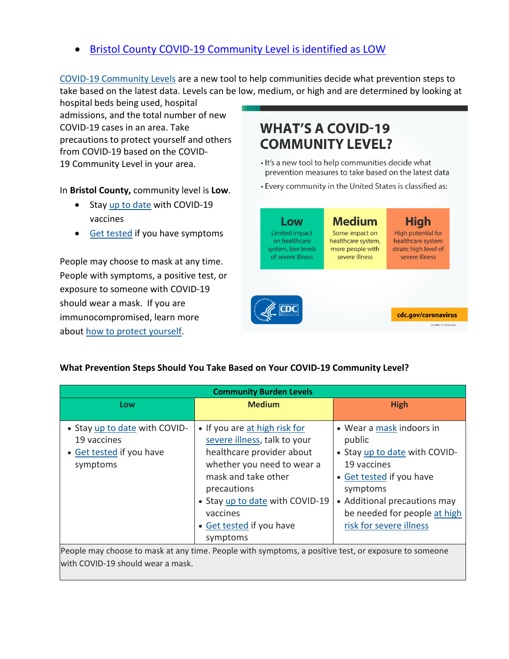# • [Bristol County COVID-19 Community Level is identified as LOW](https://www.cdc.gov/coronavirus/2019-ncov/your-health/covid-by-county.html?ACSTrackingID=USCDC_2145-DM76655&ACSTrackingLabel=02.25.2022%20-%20COVID-19%20Data%20Tracker%20Weekly%20Review&deliveryName=USCDC_2145-DM76655)

[COVID-19 Community Levels](https://www.cdc.gov/coronavirus/2019-ncov/science/community-levels.html) are a new tool to help communities decide what prevention steps to take based on the latest data. Levels can be low, medium, or high and are determined by looking at

hospital beds being used, hospital admissions, and the total number of new COVID-19 cases in an area. Take precautions to protect yourself and others from COVID-19 based on the COVID-19 Community Level in your area.

In **Bristol County,** community level is **Low**.

- Stay [up to date](https://www.cdc.gov/coronavirus/2019-ncov/vaccines/stay-up-to-date.html) with COVID-19 vaccines
- [Get tested](https://www.cdc.gov/coronavirus/2019-ncov/testing/diagnostic-testing.html) if you have symptoms

People may choose to mask at any time. People with symptoms, a positive test, or exposure to someone with COVID-19 should wear a mask. If you are immunocompromised, learn more about [how to protect yourself.](https://www.cdc.gov/coronavirus/2019-ncov/science/community-levels.html#anchor_47145)

# **WHAT'S A COVID-19 COMMUNITY LEVEL?**

- . It's a new tool to help communities decide what prevention measures to take based on the latest data
- Every community in the United States is classified as:



#### **What Prevention Steps Should You Take Based on Your COVID-19 Community Level?**

| <b>Community Burden Levels</b>                                                                       |                                 |                               |  |  |
|------------------------------------------------------------------------------------------------------|---------------------------------|-------------------------------|--|--|
| Low                                                                                                  | <b>Medium</b>                   | <b>High</b>                   |  |  |
| • Stay up to date with COVID-                                                                        | • If you are at high risk for   | • Wear a mask indoors in      |  |  |
| 19 vaccines                                                                                          | severe illness, talk to your    | public                        |  |  |
| • Get tested if you have                                                                             | healthcare provider about       | • Stay up to date with COVID- |  |  |
| symptoms                                                                                             | whether you need to wear a      | 19 vaccines                   |  |  |
|                                                                                                      | mask and take other             | • Get tested if you have      |  |  |
|                                                                                                      | precautions                     | symptoms                      |  |  |
|                                                                                                      | • Stay up to date with COVID-19 | • Additional precautions may  |  |  |
|                                                                                                      | vaccines                        | be needed for people at high  |  |  |
|                                                                                                      | • Get tested if you have        | risk for severe illness       |  |  |
|                                                                                                      | symptoms                        |                               |  |  |
| People may choose to mask at any time. People with symptoms, a positive test, or exposure to someone |                                 |                               |  |  |
| with COVID-19 should wear a mask.                                                                    |                                 |                               |  |  |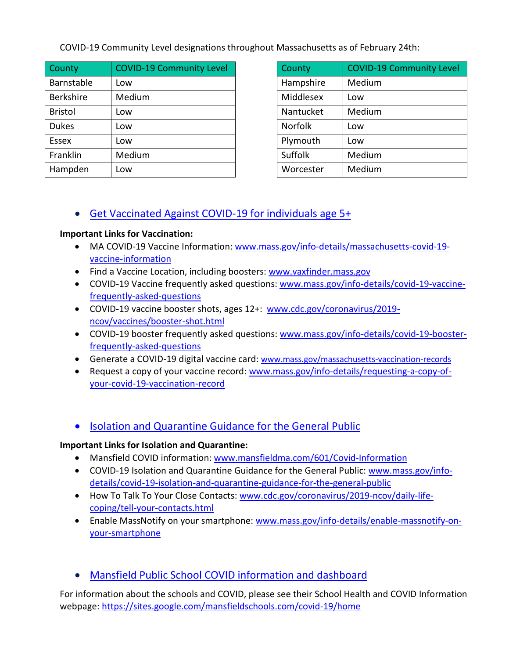COVID-19 Community Level designations throughout Massachusetts as of February 24th:

| County           | <b>COVID-19 Community Level</b> | County         | <b>COVID-19 Community Level</b> |
|------------------|---------------------------------|----------------|---------------------------------|
| Barnstable       | Low                             | Hampshire      | Medium                          |
| <b>Berkshire</b> | <b>Medium</b>                   | Middlesex      | Low                             |
| <b>Bristol</b>   | Low                             | Nantucket      | <b>Medium</b>                   |
| <b>Dukes</b>     | Low                             | <b>Norfolk</b> | Low                             |
| <b>Essex</b>     | Low                             | Plymouth       | Low                             |
| Franklin         | Medium                          | Suffolk        | Medium                          |
| Hampden          | Low                             | Worcester      | Medium                          |

| County    | <b>COVID-19 Community Level</b> |
|-----------|---------------------------------|
| Hampshire | Medium                          |
| Middlesex | Low                             |
| Nantucket | Medium                          |
| Norfolk   | Low                             |
| Plymouth  | Low                             |
| Suffolk   | Medium                          |
| Worcester | Medium                          |

# • [Get Vaccinated Against COVID-19](https://www.mass.gov/covid-19-vaccine) for individuals age 5+

#### **Important Links for Vaccination:**

- MA COVID-19 Vaccine Information: [www.mass.gov/info-details/massachusetts-covid-19](http://www.mass.gov/info-details/massachusetts-covid-19-vaccine-information) [vaccine-information](http://www.mass.gov/info-details/massachusetts-covid-19-vaccine-information)
- Find a Vaccine Location, including boosters: [www.vaxfinder.mass.gov](http://www.vaxfinder.mass.gov/)
- COVID-19 Vaccine frequently asked questions: [www.mass.gov/info-details/covid-19-vaccine](http://www.mass.gov/info-details/covid-19-vaccine-frequently-asked-questions)[frequently-asked-questions](http://www.mass.gov/info-details/covid-19-vaccine-frequently-asked-questions)
- COVID-19 vaccine booster shots, ages 12+: [www.cdc.gov/coronavirus/2019](http://www.cdc.gov/coronavirus/2019-ncov/vaccines/booster-shot.html) [ncov/vaccines/booster-shot.html](http://www.cdc.gov/coronavirus/2019-ncov/vaccines/booster-shot.html)
- COVID-19 booster frequently asked questions: [www.mass.gov/info-details/covid-19-booster](http://www.mass.gov/info-details/covid-19-booster-frequently-asked-questions)[frequently-asked-questions](http://www.mass.gov/info-details/covid-19-booster-frequently-asked-questions)
- Generate a COVID-19 digital vaccine card: [www.mass.gov/massachusetts-vaccination-records](http://www.mass.gov/massachusetts-vaccination-records)
- Request a copy of your vaccine record: [www.mass.gov/info-details/requesting-a-copy-of](http://www.mass.gov/info-details/requesting-a-copy-of-your-covid-19-vaccination-record)[your-covid-19-vaccination-record](http://www.mass.gov/info-details/requesting-a-copy-of-your-covid-19-vaccination-record)

# • [Isolation and Quarantine Guidance for the General Public](https://www.mass.gov/info-details/isolation-and-quarantine-guidance-for-the-general-public)

## **Important Links for Isolation and Quarantine:**

- Mansfield COVID information: [www.mansfieldma.com/601/Covid-Information](http://www.mansfieldma.com/601/Covid-Information)
- COVID-19 Isolation and Quarantine Guidance for the General Public: [www.mass.gov/info](http://www.mass.gov/info-details/covid-19-isolation-and-quarantine-guidance-for-the-general-public)[details/covid-19-isolation-and-quarantine-guidance-for-the-general-public](http://www.mass.gov/info-details/covid-19-isolation-and-quarantine-guidance-for-the-general-public)
- How To Talk To Your Close Contacts: [www.cdc.gov/coronavirus/2019-ncov/daily-life](http://www.cdc.gov/coronavirus/2019-ncov/daily-life-coping/tell-your-contacts.html)[coping/tell-your-contacts.html](http://www.cdc.gov/coronavirus/2019-ncov/daily-life-coping/tell-your-contacts.html)
- Enable MassNotify on your smartphone: [www.mass.gov/info-details/enable-massnotify-on](http://www.mass.gov/info-details/enable-massnotify-on-your-smartphone)[your-smartphone](http://www.mass.gov/info-details/enable-massnotify-on-your-smartphone)
- [Mansfield Public School COVID information and dashboard](https://sites.google.com/mansfieldschools.com/covid-19/home)

For information about the schools and COVID, please see their School Health and COVID Information webpage: [https://sites.google.com/mansfieldschools.com/covid-19/home](https://sites.google.com/mansfieldschools.com/covid-19/home?fbclid=IwAR0iOibHdYbSAS4vahT7jRMaAEotiNjuySDUya0cF2mhkiXEC0YKi_yklXU)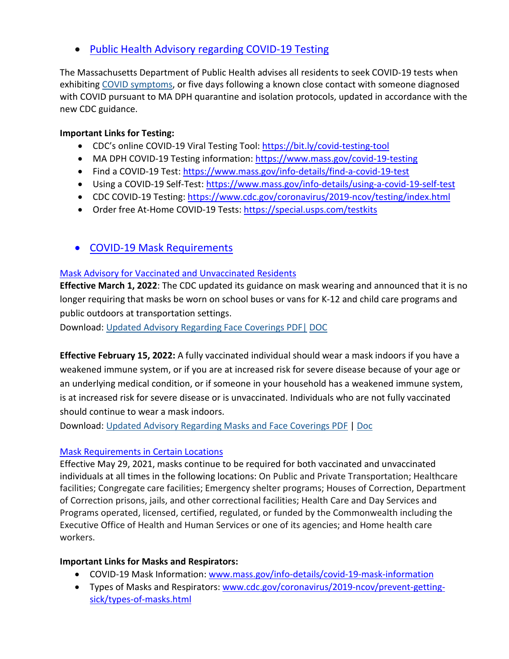• [Public Health Advisory regarding COVID-19 Testing](https://www.mass.gov/advisory/public-health-advisory-regarding-covid-19-testing)

The Massachusetts Department of Public Health advises all residents to seek COVID-19 tests when exhibiting [COVID symptoms,](https://www.mass.gov/info-details/about-covid-19#symptoms-) or five days following a known close contact with someone diagnosed with COVID pursuant to MA DPH quarantine and isolation protocols, updated in accordance with the new CDC guidance.

## **Important Links for Testing:**

- CDC's online COVID-19 Viral Testing Tool: [https://bit.ly/covid-testing-tool](https://bit.ly/covid-testing-tool?fbclid=IwAR2ddn7qeVY_b_v0O-rkK3en8x-EPMGTVlQDDSNZxwhZrjtH_hTNHEzYKP8)
- MA DPH COVID-19 Testing information:<https://www.mass.gov/covid-19-testing>
- Find a COVID-19 Test:<https://www.mass.gov/info-details/find-a-covid-19-test>
- Using a COVID-19 Self-Test:<https://www.mass.gov/info-details/using-a-covid-19-self-test>
- CDC COVID-19 Testing:<https://www.cdc.gov/coronavirus/2019-ncov/testing/index.html>
- Order free At-Home COVID-19 Tests:<https://special.usps.com/testkits>
- [COVID-19 Mask Requirements](https://www.mass.gov/info-details/covid-19-mask-requirements)

## [Mask Advisory for Vaccinated and Unvaccinated Residents](https://www.mass.gov/info-details/covid-19-mask-requirements#mask-advisory-for-vaccinated-and-unvaccinated-residents-)

**Effective March 1, 2022**: The CDC updated its guidance on mask wearing and announced that it is no longer requiring that masks be worn on school buses or vans for K-12 and child care programs and public outdoors at transportation settings.

Download: [Updated Advisory Regarding Face Coverings PDF|](https://www.mass.gov/doc/advisory-regarding-face-coverings-updated-3122-0/download) [DOC](https://www.mass.gov/doc/advisory-regarding-face-coverings-updated-3122/download)

**Effective February 15, 2022:** A fully vaccinated individual should wear a mask indoors if you have a weakened immune system, or if you are at increased risk for severe disease because of your age or an underlying medical condition, or if someone in your household has a weakened immune system, is at increased risk for severe disease or is unvaccinated. Individuals who are not fully vaccinated should continue to wear a mask indoors.

Download: Updated [Advisory Regarding Masks and Face Coverings PDF](https://www.mass.gov/doc/updated-advisory-regarding-masks-and-face-coverings-0/download) | [Doc](https://www.mass.gov/doc/updated-advisory-regarding-masks-and-face-coverings-accessible/download)

## [Mask Requirements in Certain Locations](https://www.mass.gov/info-details/covid-19-mask-requirements#mask-requirements-in-certain-locations-)

Effective May 29, 2021, masks continue to be required for both vaccinated and unvaccinated individuals at all times in the following locations: On Public and Private Transportation; Healthcare facilities; Congregate care facilities; Emergency shelter programs; Houses of Correction, Department of Correction prisons, jails, and other correctional facilities; Health Care and Day Services and Programs operated, licensed, certified, regulated, or funded by the Commonwealth including the Executive Office of Health and Human Services or one of its agencies; and Home health care workers.

## **Important Links for Masks and Respirators:**

- COVID-19 Mask Information: [www.mass.gov/info-details/covid-19-mask-information](http://www.mass.gov/info-details/covid-19-mask-information)
- Types of Masks and Respirators[: www.cdc.gov/coronavirus/2019-ncov/prevent-getting](http://www.cdc.gov/coronavirus/2019-ncov/prevent-getting-sick/types-of-masks.html)[sick/types-of-masks.html](http://www.cdc.gov/coronavirus/2019-ncov/prevent-getting-sick/types-of-masks.html)